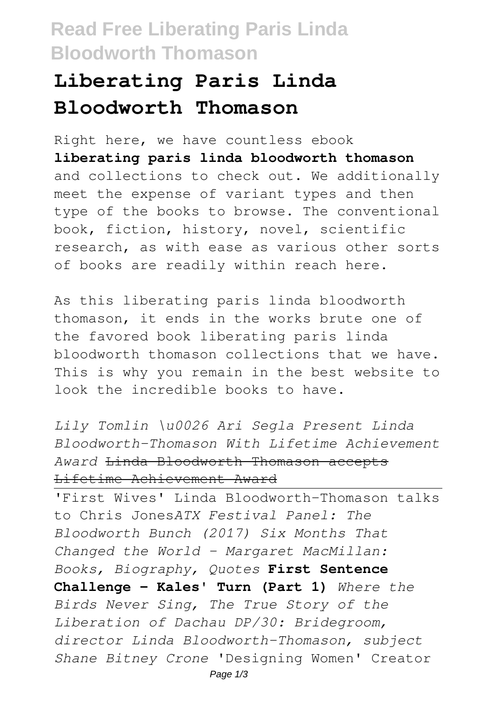## **Read Free Liberating Paris Linda Bloodworth Thomason**

## **Liberating Paris Linda Bloodworth Thomason**

Right here, we have countless ebook **liberating paris linda bloodworth thomason** and collections to check out. We additionally meet the expense of variant types and then type of the books to browse. The conventional book, fiction, history, novel, scientific research, as with ease as various other sorts of books are readily within reach here.

As this liberating paris linda bloodworth thomason, it ends in the works brute one of the favored book liberating paris linda bloodworth thomason collections that we have. This is why you remain in the best website to look the incredible books to have.

*Lily Tomlin \u0026 Ari Segla Present Linda Bloodworth-Thomason With Lifetime Achievement Award* Linda Bloodworth-Thomason accepts Lifetime Achievement Award

'First Wives' Linda Bloodworth-Thomason talks to Chris Jones*ATX Festival Panel: The Bloodworth Bunch (2017) Six Months That Changed the World - Margaret MacMillan: Books, Biography, Quotes* **First Sentence Challenge - Kales' Turn (Part 1)** *Where the Birds Never Sing, The True Story of the Liberation of Dachau DP/30: Bridegroom, director Linda Bloodworth-Thomason, subject Shane Bitney Crone* 'Designing Women' Creator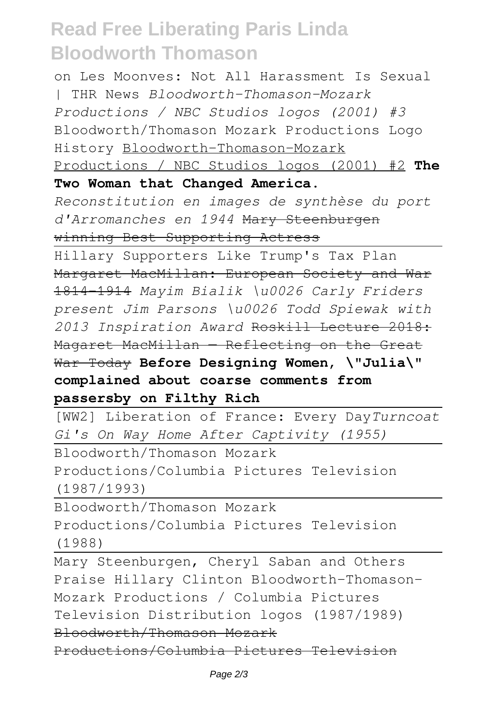## **Read Free Liberating Paris Linda Bloodworth Thomason**

on Les Moonves: Not All Harassment Is Sexual | THR News *Bloodworth-Thomason-Mozark Productions / NBC Studios logos (2001) #3* Bloodworth/Thomason Mozark Productions Logo History Bloodworth-Thomason-Mozark Productions / NBC Studios logos (2001) #2 **The Two Woman that Changed America.**

*Reconstitution en images de synthèse du port d'Arromanches en 1944* Mary Steenburgen winning Best Supporting Actress

Hillary Supporters Like Trump's Tax Plan Margaret MacMillan: European Society and War 1814-1914 *Mayim Bialik \u0026 Carly Friders present Jim Parsons \u0026 Todd Spiewak with 2013 Inspiration Award* Roskill Lecture 2018: Magaret MacMillan - Reflecting on the Great War Today **Before Designing Women, \"Julia\" complained about coarse comments from passersby on Filthy Rich**

[WW2] Liberation of France: Every Day*Turncoat Gi's On Way Home After Captivity (1955)*

Bloodworth/Thomason Mozark Productions/Columbia Pictures Television (1987/1993)

Bloodworth/Thomason Mozark Productions/Columbia Pictures Television (1988)

Mary Steenburgen, Cheryl Saban and Others Praise Hillary Clinton Bloodworth-Thomason-Mozark Productions / Columbia Pictures Television Distribution logos (1987/1989) Bloodworth/Thomason Mozark

Productions/Columbia Pictures Television